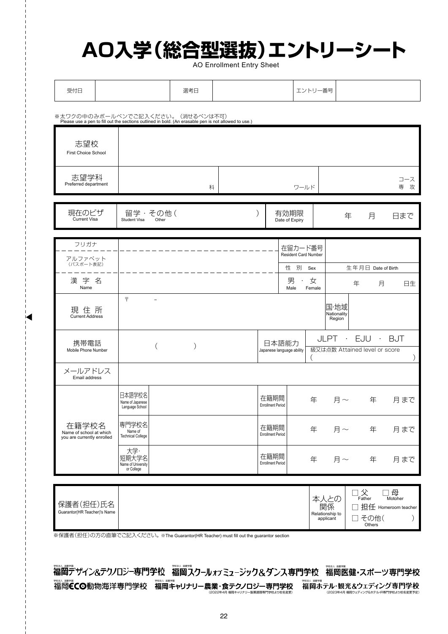## **AO入学(総合型選抜)エントリーシート**

AO Enrollment Entry Sheet

| 受付日                                                                                                                                      |                                                  | 選考日           |   | エントリー番号                            |                                        |                                                   |                                                                      |                                                    |
|------------------------------------------------------------------------------------------------------------------------------------------|--------------------------------------------------|---------------|---|------------------------------------|----------------------------------------|---------------------------------------------------|----------------------------------------------------------------------|----------------------------------------------------|
| ※太ワクの中のみボールペンでご記入ください。(消せるペンは不可)<br>Please use a pen to fill out the sections outlined in bold. (An erasable pen is not allowed to use.) |                                                  |               |   |                                    |                                        |                                                   |                                                                      |                                                    |
| 志望校<br>First Choice School                                                                                                               |                                                  |               |   |                                    |                                        |                                                   |                                                                      |                                                    |
| 志望学科<br>Preferred department                                                                                                             |                                                  |               | 科 |                                    | ワールド                                   |                                                   |                                                                      | コース<br>専 攻                                         |
| 現在のビザ<br><b>Current Visa</b>                                                                                                             | 留学・その他(<br>Student Visa<br>Other                 |               |   | 有効期限<br>Date of Expiry             |                                        | 年<br>月<br>日まで                                     |                                                                      |                                                    |
| フリガナ                                                                                                                                     |                                                  |               |   |                                    |                                        |                                                   |                                                                      |                                                    |
| アルファベット<br>(パスポート表記)                                                                                                                     |                                                  |               |   |                                    | 在留カード番号<br><b>Resident Card Number</b> |                                                   |                                                                      |                                                    |
| 漢字名<br>Name                                                                                                                              |                                                  |               |   | 男<br>Male                          | 性 別 Sex<br>女<br>$\bullet$ .<br>Female  |                                                   | 生年月日 Date of Birth<br>年<br>月                                         | 日生                                                 |
| 現 住 所<br><b>Current Address</b>                                                                                                          | $\overline{\tau}$<br>$\overline{\phantom{a}}$    |               |   |                                    |                                        | 国·地域<br>Nationality<br>Region                     |                                                                      |                                                    |
| 携帯電話<br>Mobile Phone Number                                                                                                              | $\left($                                         | $\mathcal{E}$ |   | 日本語能力<br>Japanese language ability |                                        | JLPT · EJU · BJT<br>級又は点数 Attained level or score |                                                                      |                                                    |
| メールアドレス<br>Email address                                                                                                                 |                                                  |               |   |                                    |                                        |                                                   |                                                                      |                                                    |
|                                                                                                                                          | 日本語学校名<br>Name of Japanese<br>Language School    |               |   | 在籍期間<br><b>Enrollment Period</b>   |                                        | 年 月~ 年                                            |                                                                      | 月まで                                                |
| 在籍学校名<br>Name of school at which<br>you are currently enrolled                                                                           | 専門学校名<br>Name of<br>Technical College            |               |   | 在籍期間<br><b>Enrollment Period</b>   |                                        | 年 月~                                              | 年                                                                    | 月まで                                                |
|                                                                                                                                          | 大学·<br>短期大学名<br>Name of University<br>or College |               |   | 在籍期間<br><b>Enrollment Period</b>   | 年                                      | 月 $\sim$                                          | 年                                                                    | 月まで                                                |
|                                                                                                                                          |                                                  |               |   |                                    |                                        |                                                   |                                                                      |                                                    |
| 保護者(担任)氏名<br>Guarantor(HR Teacher)'s Name                                                                                                |                                                  |               |   |                                    |                                        | 本人との<br>関係<br>Relationship to<br>applicant        | $\Box \nbrace{\mathbf{\hat{x}}}_{\text{Father}}$<br>□ その他(<br>Others | ] <del>母</del><br>Motoher<br>□ 担任 Homeroom teacher |

※保護者(担任)の方の直筆でご記入ください。※The Guarantor(HR Teacher) must fill out the guarantor section

シング&ホテル 旧車門学校より校名変更予定) 学校法人 滋慶学園 学校法人 滋慶学園 学校法人 滋慶学園 学校法人 滋慶学園 学校法人 滋慶学園 学校法人 滋慶学園